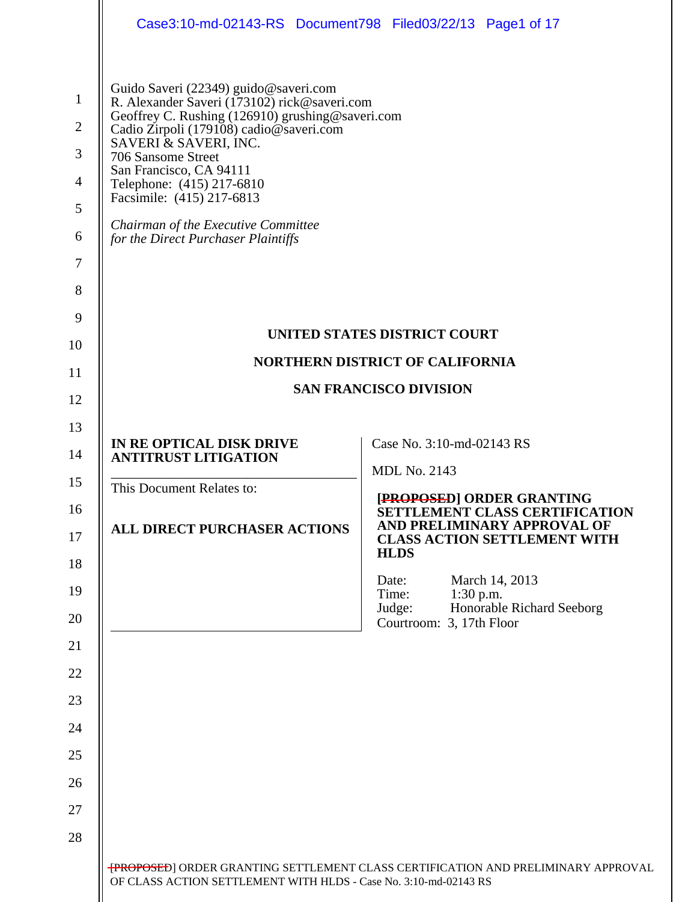|                                                                      | Case3:10-md-02143-RS Document798 Filed03/22/13 Page1 of 17                                                                                                                                                                                                                                                                                                                                             |                                                                                                                                                  |  |
|----------------------------------------------------------------------|--------------------------------------------------------------------------------------------------------------------------------------------------------------------------------------------------------------------------------------------------------------------------------------------------------------------------------------------------------------------------------------------------------|--------------------------------------------------------------------------------------------------------------------------------------------------|--|
| $\mathbf{1}$<br>$\overline{2}$<br>3<br>$\overline{4}$<br>5<br>6<br>7 | Guido Saveri (22349) guido@saveri.com<br>R. Alexander Saveri (173102) rick@saveri.com<br>Geoffrey C. Rushing (126910) grushing@saveri.com<br>Cadio Zirpoli (179108) cadio@saveri.com<br>SAVERI & SAVERI, INC.<br>706 Sansome Street<br>San Francisco, CA 94111<br>Telephone: (415) 217-6810<br>Facsimile: (415) 217-6813<br>Chairman of the Executive Committee<br>for the Direct Purchaser Plaintiffs |                                                                                                                                                  |  |
| 8<br>9                                                               |                                                                                                                                                                                                                                                                                                                                                                                                        |                                                                                                                                                  |  |
| 10                                                                   |                                                                                                                                                                                                                                                                                                                                                                                                        | UNITED STATES DISTRICT COURT                                                                                                                     |  |
| 11                                                                   | <b>NORTHERN DISTRICT OF CALIFORNIA</b><br><b>SAN FRANCISCO DIVISION</b>                                                                                                                                                                                                                                                                                                                                |                                                                                                                                                  |  |
| 12                                                                   |                                                                                                                                                                                                                                                                                                                                                                                                        |                                                                                                                                                  |  |
| 13                                                                   |                                                                                                                                                                                                                                                                                                                                                                                                        |                                                                                                                                                  |  |
| 14                                                                   | IN RE OPTICAL DISK DRIVE<br><b>ANTITRUST LITIGATION</b>                                                                                                                                                                                                                                                                                                                                                | Case No. 3:10-md-02143 RS                                                                                                                        |  |
| 15                                                                   | This Document Relates to:                                                                                                                                                                                                                                                                                                                                                                              | <b>MDL No. 2143</b>                                                                                                                              |  |
| 16<br>17                                                             | <b>ALL DIRECT PURCHASER ACTIONS</b>                                                                                                                                                                                                                                                                                                                                                                    | [PROPOSED] ORDER GRANTING<br>SETTLEMENT CLASS CERTIFICATION<br>AND PRELIMINARY APPROVAL OF<br><b>CLASS ACTION SETTLEMENT WITH</b><br><b>HLDS</b> |  |
| 18                                                                   |                                                                                                                                                                                                                                                                                                                                                                                                        | March 14, 2013<br>Date:                                                                                                                          |  |
| 19<br>20                                                             |                                                                                                                                                                                                                                                                                                                                                                                                        | Time:<br>$1:30$ p.m.<br>Honorable Richard Seeborg<br>Judge:<br>Courtroom: 3, 17th Floor                                                          |  |
| 21                                                                   |                                                                                                                                                                                                                                                                                                                                                                                                        |                                                                                                                                                  |  |
| 22                                                                   |                                                                                                                                                                                                                                                                                                                                                                                                        |                                                                                                                                                  |  |
| 23                                                                   |                                                                                                                                                                                                                                                                                                                                                                                                        |                                                                                                                                                  |  |
| 24                                                                   |                                                                                                                                                                                                                                                                                                                                                                                                        |                                                                                                                                                  |  |
| 25                                                                   |                                                                                                                                                                                                                                                                                                                                                                                                        |                                                                                                                                                  |  |
| 26                                                                   |                                                                                                                                                                                                                                                                                                                                                                                                        |                                                                                                                                                  |  |
| 27                                                                   |                                                                                                                                                                                                                                                                                                                                                                                                        |                                                                                                                                                  |  |
| 28                                                                   |                                                                                                                                                                                                                                                                                                                                                                                                        |                                                                                                                                                  |  |
|                                                                      | OF CLASS ACTION SETTLEMENT WITH HLDS - Case No. 3:10-md-02143 RS                                                                                                                                                                                                                                                                                                                                       | <b>[PROPOSED]</b> ORDER GRANTING SETTLEMENT CLASS CERTIFICATION AND PRELIMINARY APPROVAL                                                         |  |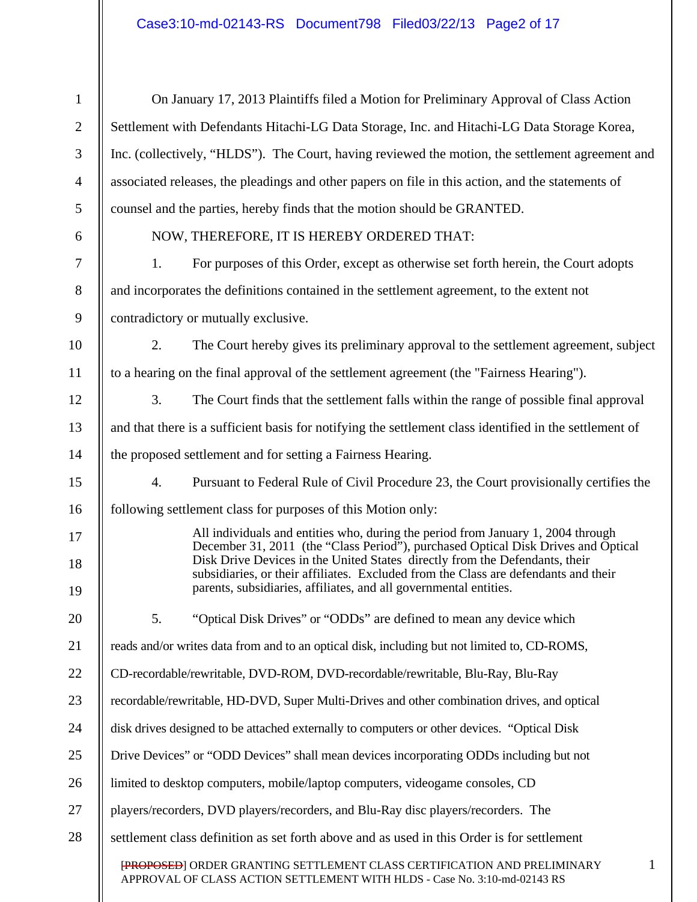# Case3:10-md-02143-RS Document798 Filed03/22/13 Page2 of 17

| $\mathbf{1}$   | On January 17, 2013 Plaintiffs filed a Motion for Preliminary Approval of Class Action                                                                                                                                                                                                                                                                                                                           |  |  |
|----------------|------------------------------------------------------------------------------------------------------------------------------------------------------------------------------------------------------------------------------------------------------------------------------------------------------------------------------------------------------------------------------------------------------------------|--|--|
| $\overline{2}$ | Settlement with Defendants Hitachi-LG Data Storage, Inc. and Hitachi-LG Data Storage Korea,                                                                                                                                                                                                                                                                                                                      |  |  |
| 3              | Inc. (collectively, "HLDS"). The Court, having reviewed the motion, the settlement agreement and                                                                                                                                                                                                                                                                                                                 |  |  |
| $\overline{4}$ | associated releases, the pleadings and other papers on file in this action, and the statements of                                                                                                                                                                                                                                                                                                                |  |  |
| 5              | counsel and the parties, hereby finds that the motion should be GRANTED.                                                                                                                                                                                                                                                                                                                                         |  |  |
| 6              | NOW, THEREFORE, IT IS HEREBY ORDERED THAT:                                                                                                                                                                                                                                                                                                                                                                       |  |  |
| 7              | For purposes of this Order, except as otherwise set forth herein, the Court adopts<br>1.                                                                                                                                                                                                                                                                                                                         |  |  |
| $8\phantom{1}$ | and incorporates the definitions contained in the settlement agreement, to the extent not                                                                                                                                                                                                                                                                                                                        |  |  |
| 9              | contradictory or mutually exclusive.                                                                                                                                                                                                                                                                                                                                                                             |  |  |
| 10             | The Court hereby gives its preliminary approval to the settlement agreement, subject<br>2.                                                                                                                                                                                                                                                                                                                       |  |  |
| 11             | to a hearing on the final approval of the settlement agreement (the "Fairness Hearing").                                                                                                                                                                                                                                                                                                                         |  |  |
| 12             | 3.<br>The Court finds that the settlement falls within the range of possible final approval                                                                                                                                                                                                                                                                                                                      |  |  |
| 13             | and that there is a sufficient basis for notifying the settlement class identified in the settlement of                                                                                                                                                                                                                                                                                                          |  |  |
| 14             | the proposed settlement and for setting a Fairness Hearing.                                                                                                                                                                                                                                                                                                                                                      |  |  |
| 15             | Pursuant to Federal Rule of Civil Procedure 23, the Court provisionally certifies the<br>4.                                                                                                                                                                                                                                                                                                                      |  |  |
| 16             | following settlement class for purposes of this Motion only:                                                                                                                                                                                                                                                                                                                                                     |  |  |
| 17<br>18<br>19 | All individuals and entities who, during the period from January 1, 2004 through<br>December 31, 2011 (the "Class Period"), purchased Optical Disk Drives and Optical<br>Disk Drive Devices in the United States directly from the Defendants, their<br>subsidiaries, or their affiliates. Excluded from the Class are defendants and their<br>parents, subsidiaries, affiliates, and all governmental entities. |  |  |
| 20             | 5.<br>"Optical Disk Drives" or "ODDs" are defined to mean any device which                                                                                                                                                                                                                                                                                                                                       |  |  |
| 21             | reads and/or writes data from and to an optical disk, including but not limited to, CD-ROMS,                                                                                                                                                                                                                                                                                                                     |  |  |
| 22             | CD-recordable/rewritable, DVD-ROM, DVD-recordable/rewritable, Blu-Ray, Blu-Ray                                                                                                                                                                                                                                                                                                                                   |  |  |
| 23             | recordable/rewritable, HD-DVD, Super Multi-Drives and other combination drives, and optical                                                                                                                                                                                                                                                                                                                      |  |  |
| 24             | disk drives designed to be attached externally to computers or other devices. "Optical Disk                                                                                                                                                                                                                                                                                                                      |  |  |
| 25             | Drive Devices" or "ODD Devices" shall mean devices incorporating ODDs including but not                                                                                                                                                                                                                                                                                                                          |  |  |
| 26             | limited to desktop computers, mobile/laptop computers, videogame consoles, CD                                                                                                                                                                                                                                                                                                                                    |  |  |
| 27             | players/recorders, DVD players/recorders, and Blu-Ray disc players/recorders. The                                                                                                                                                                                                                                                                                                                                |  |  |
| 28             | settlement class definition as set forth above and as used in this Order is for settlement                                                                                                                                                                                                                                                                                                                       |  |  |
|                | 1<br>[PROPOSED] ORDER GRANTING SETTLEMENT CLASS CERTIFICATION AND PRELIMINARY<br>APPROVAL OF CLASS ACTION SETTLEMENT WITH HLDS - Case No. 3:10-md-02143 RS                                                                                                                                                                                                                                                       |  |  |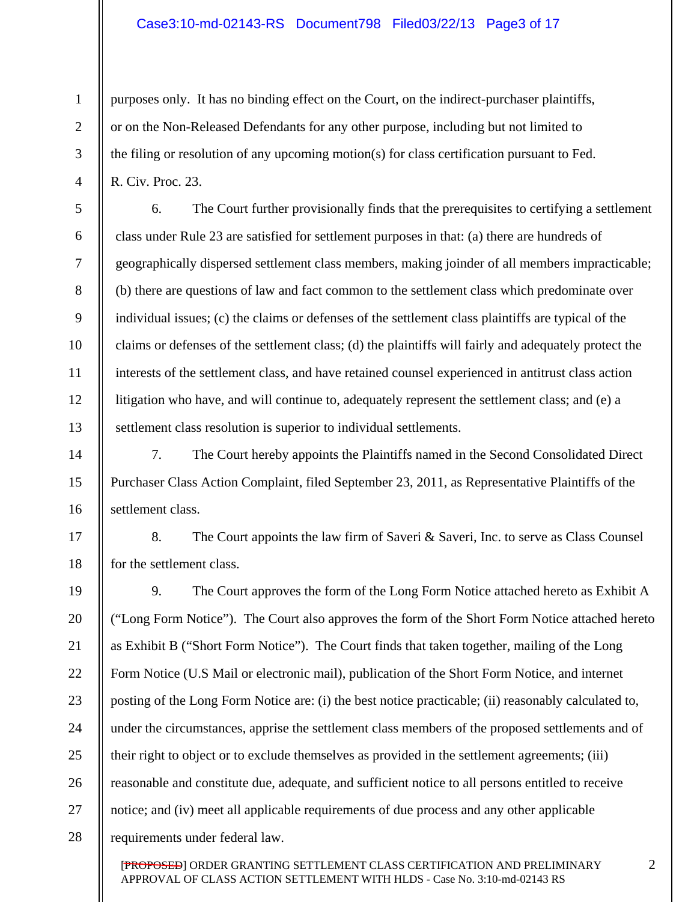#### Case3:10-md-02143-RS Document798 Filed03/22/13 Page3 of 17

purposes only. It has no binding effect on the Court, on the indirect-purchaser plaintiffs, or on the Non-Released Defendants for any other purpose, including but not limited to the filing or resolution of any upcoming motion(s) for class certification pursuant to Fed. R. Civ. Proc. 23.

1

2

3

4

5

6

7

8

9

10

11

12

14

15

16

13

17

18

6. The Court further provisionally finds that the prerequisites to certifying a settlement class under Rule 23 are satisfied for settlement purposes in that: (a) there are hundreds of geographically dispersed settlement class members, making joinder of all members impracticable; (b) there are questions of law and fact common to the settlement class which predominate over individual issues; (c) the claims or defenses of the settlement class plaintiffs are typical of the claims or defenses of the settlement class; (d) the plaintiffs will fairly and adequately protect the interests of the settlement class, and have retained counsel experienced in antitrust class action litigation who have, and will continue to, adequately represent the settlement class; and (e) a settlement class resolution is superior to individual settlements.

7. The Court hereby appoints the Plaintiffs named in the Second Consolidated Direct Purchaser Class Action Complaint, filed September 23, 2011, as Representative Plaintiffs of the settlement class.

8. The Court appoints the law firm of Saveri & Saveri, Inc. to serve as Class Counsel for the settlement class.

19 20 21 22 23 24 25 26 27 28 9. The Court approves the form of the Long Form Notice attached hereto as Exhibit A ("Long Form Notice"). The Court also approves the form of the Short Form Notice attached hereto as Exhibit B ("Short Form Notice"). The Court finds that taken together, mailing of the Long Form Notice (U.S Mail or electronic mail), publication of the Short Form Notice, and internet posting of the Long Form Notice are: (i) the best notice practicable; (ii) reasonably calculated to, under the circumstances, apprise the settlement class members of the proposed settlements and of their right to object or to exclude themselves as provided in the settlement agreements; (iii) reasonable and constitute due, adequate, and sufficient notice to all persons entitled to receive notice; and (iv) meet all applicable requirements of due process and any other applicable requirements under federal law.

[PROPOSED] ORDER GRANTING SETTLEMENT CLASS CERTIFICATION AND PRELIMINARY APPROVAL OF CLASS ACTION SETTLEMENT WITH HLDS - Case No. 3:10-md-02143 RS

2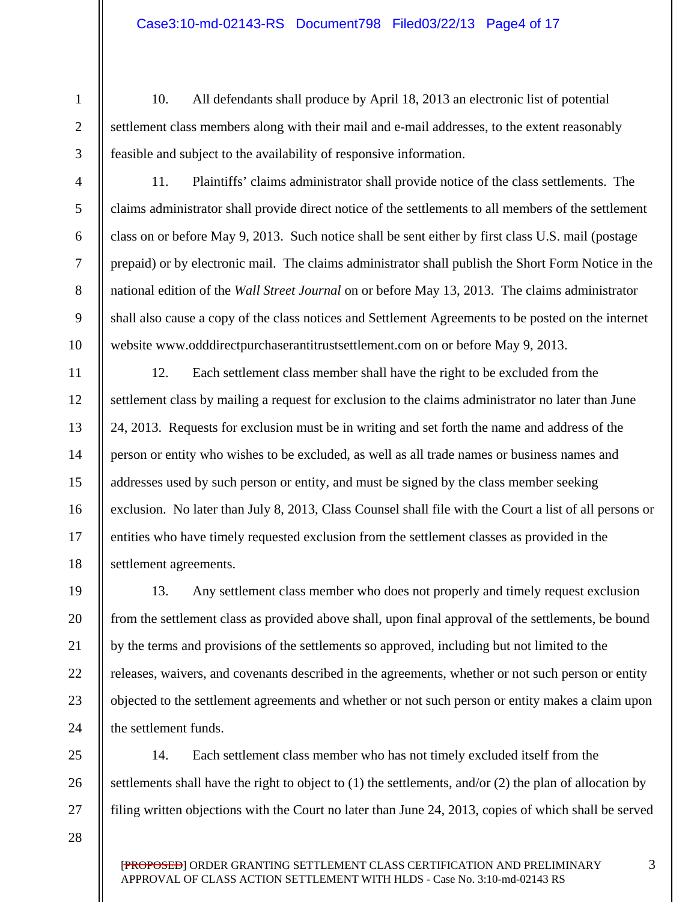10. All defendants shall produce by April 18, 2013 an electronic list of potential settlement class members along with their mail and e-mail addresses, to the extent reasonably feasible and subject to the availability of responsive information.

11. Plaintiffs' claims administrator shall provide notice of the class settlements. The claims administrator shall provide direct notice of the settlements to all members of the settlement class on or before May 9, 2013. Such notice shall be sent either by first class U.S. mail (postage prepaid) or by electronic mail. The claims administrator shall publish the Short Form Notice in the national edition of the *Wall Street Journal* on or before May 13, 2013. The claims administrator shall also cause a copy of the class notices and Settlement Agreements to be posted on the internet website www.odddirectpurchaserantitrustsettlement.com on or before May 9, 2013.

12. Each settlement class member shall have the right to be excluded from the settlement class by mailing a request for exclusion to the claims administrator no later than June 24, 2013. Requests for exclusion must be in writing and set forth the name and address of the person or entity who wishes to be excluded, as well as all trade names or business names and addresses used by such person or entity, and must be signed by the class member seeking exclusion. No later than July 8, 2013, Class Counsel shall file with the Court a list of all persons or entities who have timely requested exclusion from the settlement classes as provided in the settlement agreements.

13. Any settlement class member who does not properly and timely request exclusion from the settlement class as provided above shall, upon final approval of the settlements, be bound by the terms and provisions of the settlements so approved, including but not limited to the releases, waivers, and covenants described in the agreements, whether or not such person or entity objected to the settlement agreements and whether or not such person or entity makes a claim upon the settlement funds.

14. Each settlement class member who has not timely excluded itself from the settlements shall have the right to object to (1) the settlements, and/or (2) the plan of allocation by filing written objections with the Court no later than June 24, 2013, copies of which shall be served

28

25

26

27

1

2

4

5

6

7

8

9

3

11

12

13

14

15

16

17

10

19

20

21

22

23

24

18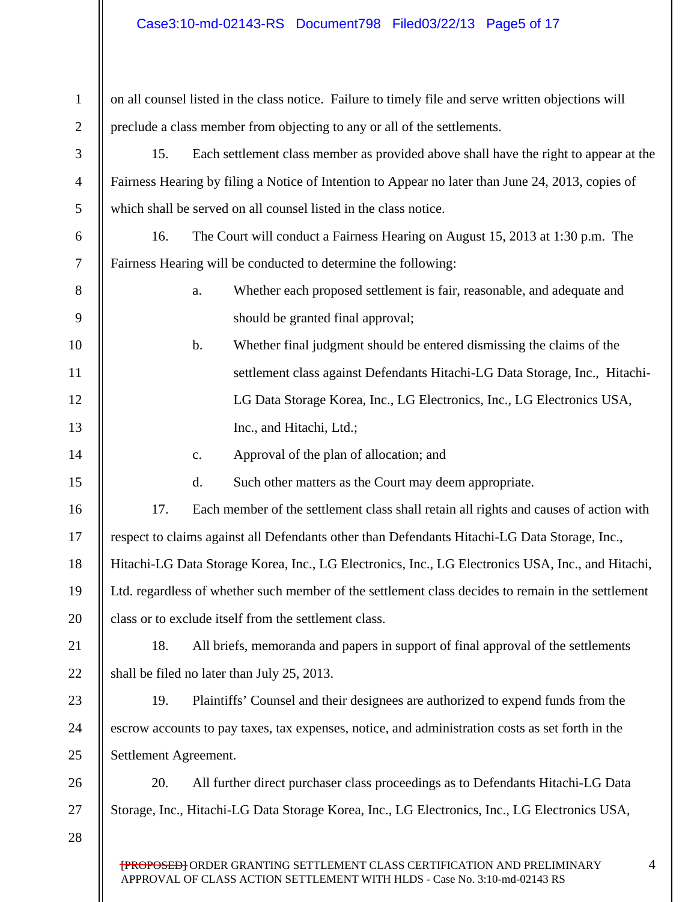### Case3:10-md-02143-RS Document798 Filed03/22/13 Page5 of 17

| $\mathbf{1}$   | on all counsel listed in the class notice. Failure to timely file and serve written objections will |                                                                                               |  |
|----------------|-----------------------------------------------------------------------------------------------------|-----------------------------------------------------------------------------------------------|--|
| $\overline{2}$ | preclude a class member from objecting to any or all of the settlements.                            |                                                                                               |  |
| 3              | 15.<br>Each settlement class member as provided above shall have the right to appear at the         |                                                                                               |  |
| $\overline{4}$ | Fairness Hearing by filing a Notice of Intention to Appear no later than June 24, 2013, copies of   |                                                                                               |  |
| 5              |                                                                                                     | which shall be served on all counsel listed in the class notice.                              |  |
| 6              | 16.                                                                                                 | The Court will conduct a Fairness Hearing on August 15, 2013 at 1:30 p.m. The                 |  |
| $\tau$         | Fairness Hearing will be conducted to determine the following:                                      |                                                                                               |  |
| 8              |                                                                                                     | Whether each proposed settlement is fair, reasonable, and adequate and<br>a.                  |  |
| 9              |                                                                                                     | should be granted final approval;                                                             |  |
| 10             |                                                                                                     | Whether final judgment should be entered dismissing the claims of the<br>$\mathbf b$ .        |  |
| 11             |                                                                                                     | settlement class against Defendants Hitachi-LG Data Storage, Inc., Hitachi-                   |  |
| 12             |                                                                                                     | LG Data Storage Korea, Inc., LG Electronics, Inc., LG Electronics USA,                        |  |
| 13             |                                                                                                     | Inc., and Hitachi, Ltd.;                                                                      |  |
| 14             |                                                                                                     | Approval of the plan of allocation; and<br>$\mathbf{c}$ .                                     |  |
| 15             |                                                                                                     | Such other matters as the Court may deem appropriate.<br>d.                                   |  |
| 16             | 17.                                                                                                 | Each member of the settlement class shall retain all rights and causes of action with         |  |
| 17             |                                                                                                     | respect to claims against all Defendants other than Defendants Hitachi-LG Data Storage, Inc., |  |
| 18             | Hitachi-LG Data Storage Korea, Inc., LG Electronics, Inc., LG Electronics USA, Inc., and Hitachi,   |                                                                                               |  |
| 19             | Ltd. regardless of whether such member of the settlement class decides to remain in the settlement  |                                                                                               |  |
| 20             | class or to exclude itself from the settlement class.                                               |                                                                                               |  |
| 21             | All briefs, memoranda and papers in support of final approval of the settlements<br>18.             |                                                                                               |  |
| 22             | shall be filed no later than July 25, 2013.                                                         |                                                                                               |  |
| 23             | 19.                                                                                                 | Plaintiffs' Counsel and their designees are authorized to expend funds from the               |  |
| 24             | escrow accounts to pay taxes, tax expenses, notice, and administration costs as set forth in the    |                                                                                               |  |
| 25             | Settlement Agreement.                                                                               |                                                                                               |  |
| 26             | 20.                                                                                                 | All further direct purchaser class proceedings as to Defendants Hitachi-LG Data               |  |
| 27             |                                                                                                     | Storage, Inc., Hitachi-LG Data Storage Korea, Inc., LG Electronics, Inc., LG Electronics USA, |  |
| 28             |                                                                                                     |                                                                                               |  |
|                |                                                                                                     | <b>[PROPOSED]</b> ORDER GRANTING SETTLEMENT CLASS CERTIFICATION AND PRELIMINARY<br>4          |  |

APPROVAL OF CLASS ACTION SETTLEMENT WITH HLDS - Case No. 3:10-md-02143 RS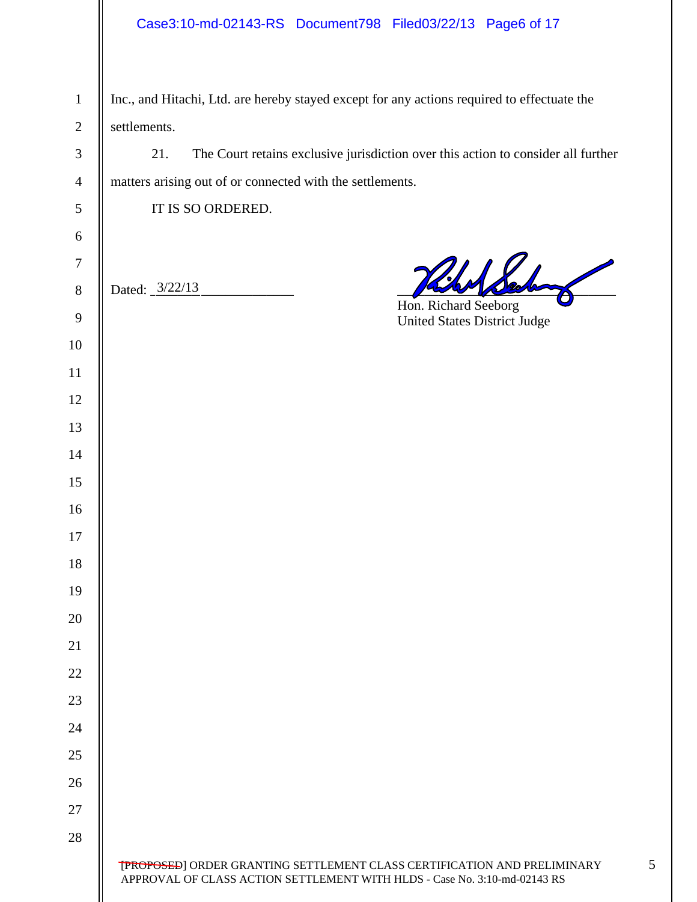## Case3:10-md-02143-RS Document798 Filed03/22/13 Page6 of 17

| $\mathbf{1}$     | Inc., and Hitachi, Ltd. are hereby stayed except for any actions required to effectuate the                                                                  |  |  |
|------------------|--------------------------------------------------------------------------------------------------------------------------------------------------------------|--|--|
| $\sqrt{2}$       | settlements.                                                                                                                                                 |  |  |
| $\mathfrak 3$    | The Court retains exclusive jurisdiction over this action to consider all further<br>21.                                                                     |  |  |
| $\overline{4}$   | matters arising out of or connected with the settlements.                                                                                                    |  |  |
| $\mathfrak s$    | IT IS SO ORDERED.                                                                                                                                            |  |  |
| $\boldsymbol{6}$ |                                                                                                                                                              |  |  |
| $\boldsymbol{7}$ |                                                                                                                                                              |  |  |
| $8\,$            | Dated: 3/22/13                                                                                                                                               |  |  |
| $\mathbf{9}$     | Hon. Richard Seeborg<br><b>United States District Judge</b>                                                                                                  |  |  |
| 10               |                                                                                                                                                              |  |  |
| 11               |                                                                                                                                                              |  |  |
| 12               |                                                                                                                                                              |  |  |
| 13               |                                                                                                                                                              |  |  |
| 14               |                                                                                                                                                              |  |  |
| 15               |                                                                                                                                                              |  |  |
| 16               |                                                                                                                                                              |  |  |
| 17               |                                                                                                                                                              |  |  |
| 18               |                                                                                                                                                              |  |  |
| 19               |                                                                                                                                                              |  |  |
| 20               |                                                                                                                                                              |  |  |
| 21               |                                                                                                                                                              |  |  |
| 22               |                                                                                                                                                              |  |  |
| 23               |                                                                                                                                                              |  |  |
| 24               |                                                                                                                                                              |  |  |
| 25               |                                                                                                                                                              |  |  |
| 26               |                                                                                                                                                              |  |  |
| 27               |                                                                                                                                                              |  |  |
| 28               |                                                                                                                                                              |  |  |
|                  | <b>[PROPOSED]</b> ORDER GRANTING SETTLEMENT CLASS CERTIFICATION AND PRELIMINARY<br>APPROVAL OF CLASS ACTION SETTLEMENT WITH HLDS - Case No. 3:10-md-02143 RS |  |  |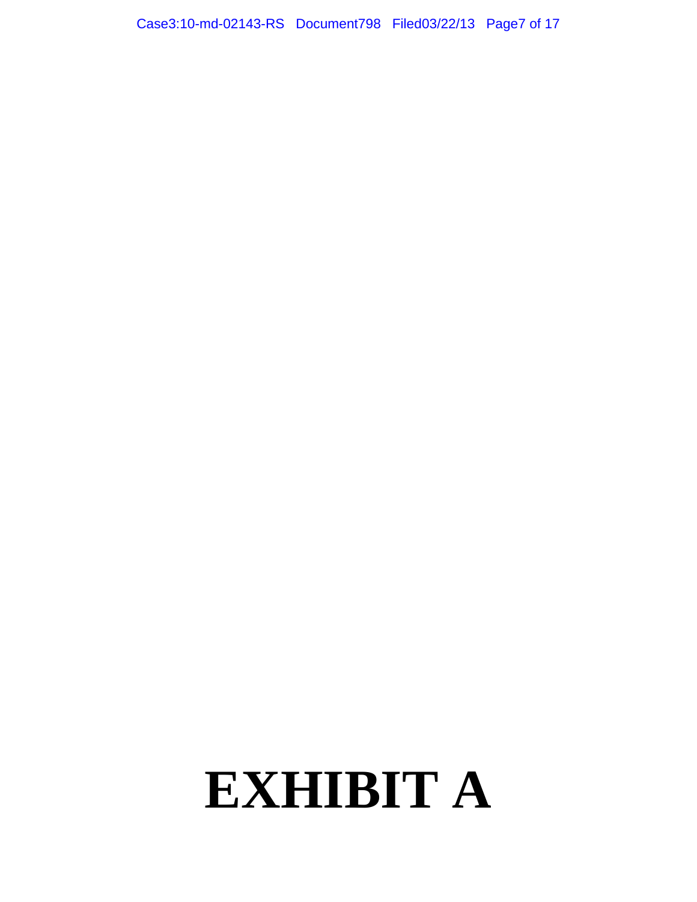Case3:10-md-02143-RS Document798 Filed03/22/13 Page7 of 17

# **EXHIBIT A**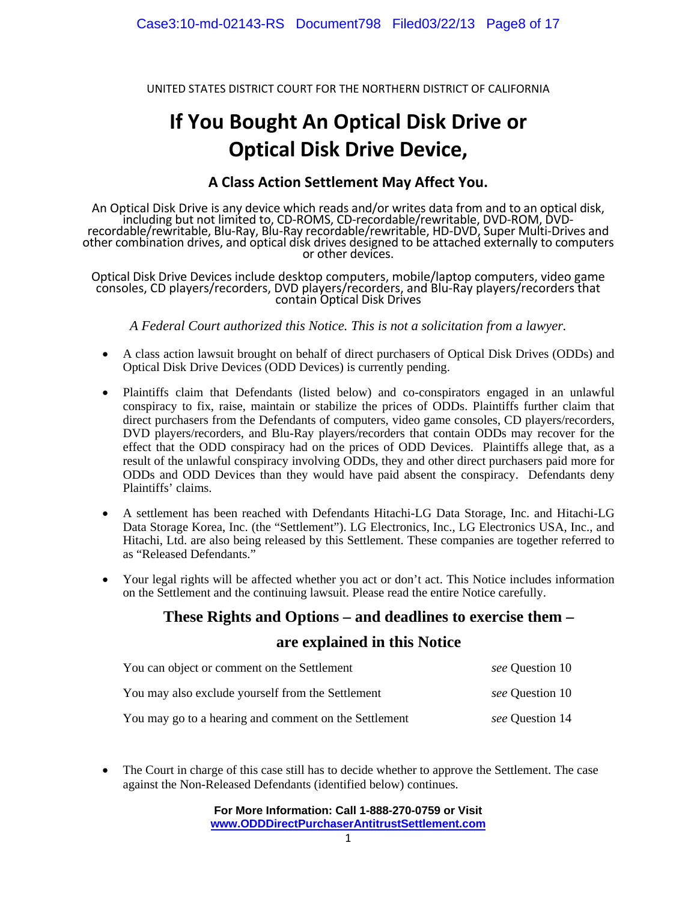UNITED STATES DISTRICT COURT FOR THE NORTHERN DISTRICT OF CALIFORNIA

# **If You Bought An Optical Disk Drive or Optical Disk Drive Device,**

#### **A Class Action Settlement May Affect You.**

An Optical Disk Drive is any device which reads and/or writes data from and to an optical disk, including but not limited to, CD‐ROMS, CD‐recordable/rewritable, DVD‐ROM, DVD‐ recordable/rewritable, Blu‐Ray, Blu‐Ray recordable/rewritable, HD‐DVD, Super Multi‐Drives and other combination drives, and óptical disk drives designed to be attached externally to computers or other devices.

Optical Disk Drive Devices include desktop computers, mobile/laptop computers, video game consoles, CD players/recorders, DVD players/recorders, and Blu‐Ray players/recorders that contain Optical Disk Drives

*A Federal Court authorized this Notice. This is not a solicitation from a lawyer.* 

- A class action lawsuit brought on behalf of direct purchasers of Optical Disk Drives (ODDs) and Optical Disk Drive Devices (ODD Devices) is currently pending.
- Plaintiffs claim that Defendants (listed below) and co-conspirators engaged in an unlawful conspiracy to fix, raise, maintain or stabilize the prices of ODDs. Plaintiffs further claim that direct purchasers from the Defendants of computers, video game consoles, CD players/recorders, DVD players/recorders, and Blu-Ray players/recorders that contain ODDs may recover for the effect that the ODD conspiracy had on the prices of ODD Devices. Plaintiffs allege that, as a result of the unlawful conspiracy involving ODDs, they and other direct purchasers paid more for ODDs and ODD Devices than they would have paid absent the conspiracy. Defendants deny Plaintiffs' claims.
- A settlement has been reached with Defendants Hitachi-LG Data Storage, Inc. and Hitachi-LG Data Storage Korea, Inc. (the "Settlement"). LG Electronics, Inc., LG Electronics USA, Inc., and Hitachi, Ltd. are also being released by this Settlement. These companies are together referred to as "Released Defendants."
- Your legal rights will be affected whether you act or don't act. This Notice includes information on the Settlement and the continuing lawsuit. Please read the entire Notice carefully.

#### **These Rights and Options – and deadlines to exercise them –**

#### **are explained in this Notice**

| You can object or comment on the Settlement           | <i>see</i> Question 10 |
|-------------------------------------------------------|------------------------|
| You may also exclude yourself from the Settlement     | <i>see</i> Ouestion 10 |
| You may go to a hearing and comment on the Settlement | see Question 14        |

• The Court in charge of this case still has to decide whether to approve the Settlement. The case against the Non-Released Defendants (identified below) continues.

> **For More Information: Call 1-888-270-0759 or Visit www.ODDDirectPurchaserAntitrustSettlement.com**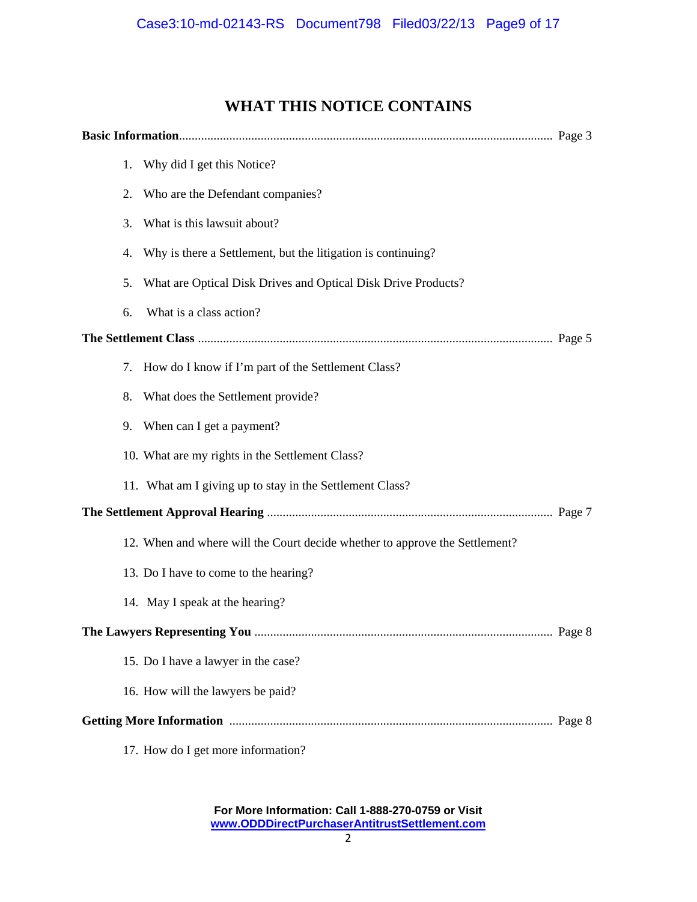### **WHAT THIS NOTICE CONTAINS**

|  | 1. | Why did I get this Notice?                                                  |  |
|--|----|-----------------------------------------------------------------------------|--|
|  | 2. | Who are the Defendant companies?                                            |  |
|  | 3. | What is this lawsuit about?                                                 |  |
|  | 4. | Why is there a Settlement, but the litigation is continuing?                |  |
|  | 5. | What are Optical Disk Drives and Optical Disk Drive Products?               |  |
|  | 6. | What is a class action?                                                     |  |
|  |    |                                                                             |  |
|  | 7. | How do I know if I'm part of the Settlement Class?                          |  |
|  | 8. | What does the Settlement provide?                                           |  |
|  | 9. | When can I get a payment?                                                   |  |
|  |    | 10. What are my rights in the Settlement Class?                             |  |
|  |    | 11. What am I giving up to stay in the Settlement Class?                    |  |
|  |    |                                                                             |  |
|  |    | 12. When and where will the Court decide whether to approve the Settlement? |  |
|  |    | 13. Do I have to come to the hearing?                                       |  |
|  |    | 14. May I speak at the hearing?                                             |  |
|  |    |                                                                             |  |
|  |    | 15. Do I have a lawyer in the case?                                         |  |
|  |    | 16. How will the lawyers be paid?                                           |  |
|  |    |                                                                             |  |
|  |    | 17. How do I get more information?                                          |  |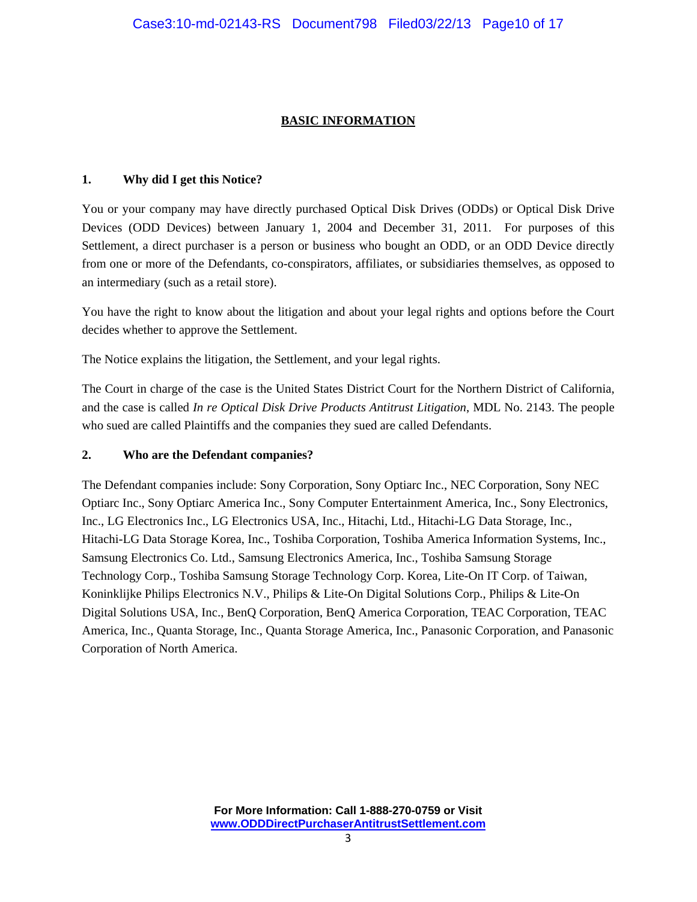#### **BASIC INFORMATION**

#### **1. Why did I get this Notice?**

You or your company may have directly purchased Optical Disk Drives (ODDs) or Optical Disk Drive Devices (ODD Devices) between January 1, 2004 and December 31, 2011. For purposes of this Settlement, a direct purchaser is a person or business who bought an ODD, or an ODD Device directly from one or more of the Defendants, co-conspirators, affiliates, or subsidiaries themselves, as opposed to an intermediary (such as a retail store).

You have the right to know about the litigation and about your legal rights and options before the Court decides whether to approve the Settlement.

The Notice explains the litigation, the Settlement, and your legal rights.

The Court in charge of the case is the United States District Court for the Northern District of California, and the case is called *In re Optical Disk Drive Products Antitrust Litigation*, MDL No. 2143. The people who sued are called Plaintiffs and the companies they sued are called Defendants.

#### **2. Who are the Defendant companies?**

The Defendant companies include: Sony Corporation, Sony Optiarc Inc., NEC Corporation, Sony NEC Optiarc Inc., Sony Optiarc America Inc., Sony Computer Entertainment America, Inc., Sony Electronics, Inc., LG Electronics Inc., LG Electronics USA, Inc., Hitachi, Ltd., Hitachi-LG Data Storage, Inc., Hitachi-LG Data Storage Korea, Inc., Toshiba Corporation, Toshiba America Information Systems, Inc., Samsung Electronics Co. Ltd., Samsung Electronics America, Inc., Toshiba Samsung Storage Technology Corp., Toshiba Samsung Storage Technology Corp. Korea, Lite-On IT Corp. of Taiwan, Koninklijke Philips Electronics N.V., Philips & Lite-On Digital Solutions Corp., Philips & Lite-On Digital Solutions USA, Inc., BenQ Corporation, BenQ America Corporation, TEAC Corporation, TEAC America, Inc., Quanta Storage, Inc., Quanta Storage America, Inc., Panasonic Corporation, and Panasonic Corporation of North America.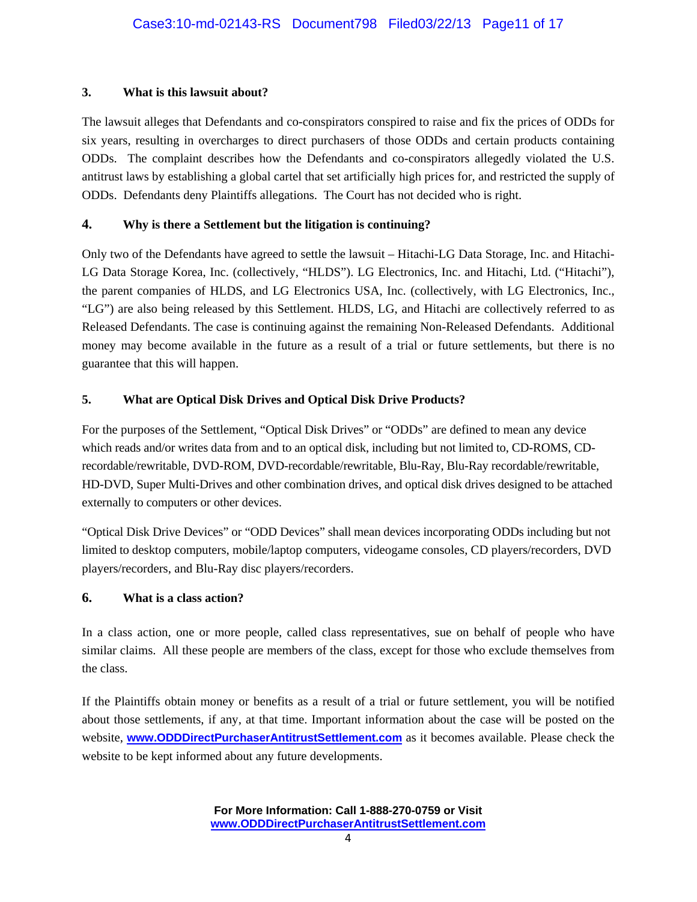#### **3. What is this lawsuit about?**

The lawsuit alleges that Defendants and co-conspirators conspired to raise and fix the prices of ODDs for six years, resulting in overcharges to direct purchasers of those ODDs and certain products containing ODDs. The complaint describes how the Defendants and co-conspirators allegedly violated the U.S. antitrust laws by establishing a global cartel that set artificially high prices for, and restricted the supply of ODDs. Defendants deny Plaintiffs allegations. The Court has not decided who is right.

#### **4. Why is there a Settlement but the litigation is continuing?**

Only two of the Defendants have agreed to settle the lawsuit – Hitachi-LG Data Storage, Inc. and Hitachi-LG Data Storage Korea, Inc. (collectively, "HLDS"). LG Electronics, Inc. and Hitachi, Ltd. ("Hitachi"), the parent companies of HLDS, and LG Electronics USA, Inc. (collectively, with LG Electronics, Inc., "LG") are also being released by this Settlement. HLDS, LG, and Hitachi are collectively referred to as Released Defendants. The case is continuing against the remaining Non-Released Defendants. Additional money may become available in the future as a result of a trial or future settlements, but there is no guarantee that this will happen.

#### **5. What are Optical Disk Drives and Optical Disk Drive Products?**

For the purposes of the Settlement, "Optical Disk Drives" or "ODDs" are defined to mean any device which reads and/or writes data from and to an optical disk, including but not limited to, CD-ROMS, CDrecordable/rewritable, DVD-ROM, DVD-recordable/rewritable, Blu-Ray, Blu-Ray recordable/rewritable, HD-DVD, Super Multi-Drives and other combination drives, and optical disk drives designed to be attached externally to computers or other devices.

"Optical Disk Drive Devices" or "ODD Devices" shall mean devices incorporating ODDs including but not limited to desktop computers, mobile/laptop computers, videogame consoles, CD players/recorders, DVD players/recorders, and Blu-Ray disc players/recorders.

#### **6. What is a class action?**

In a class action, one or more people, called class representatives, sue on behalf of people who have similar claims. All these people are members of the class, except for those who exclude themselves from the class.

If the Plaintiffs obtain money or benefits as a result of a trial or future settlement, you will be notified about those settlements, if any, at that time. Important information about the case will be posted on the website, **www.ODDDirectPurchaserAntitrustSettlement.com** as it becomes available. Please check the website to be kept informed about any future developments.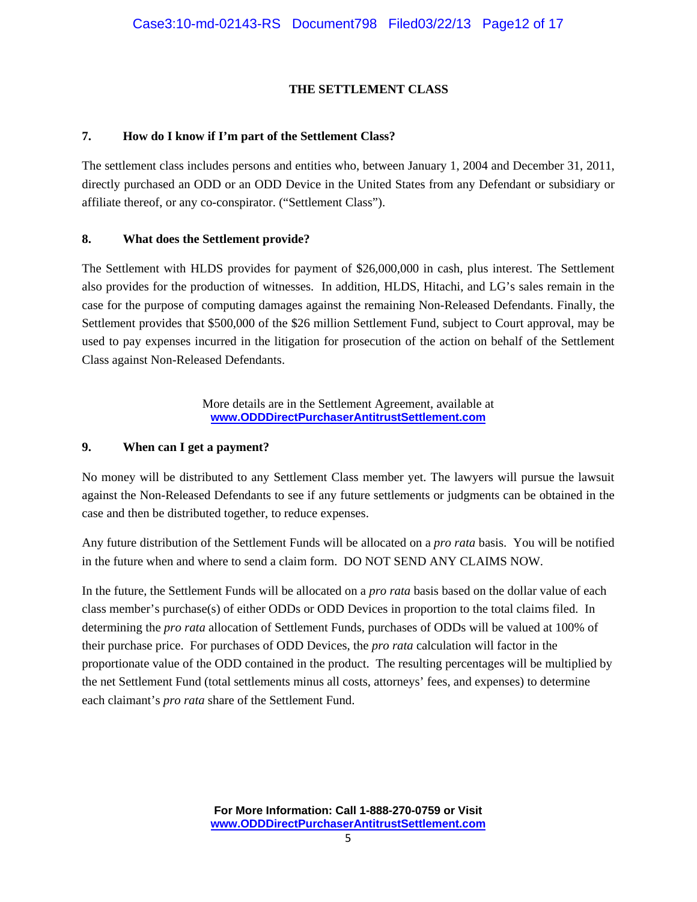#### **THE SETTLEMENT CLASS**

#### **7. How do I know if I'm part of the Settlement Class?**

The settlement class includes persons and entities who, between January 1, 2004 and December 31, 2011, directly purchased an ODD or an ODD Device in the United States from any Defendant or subsidiary or affiliate thereof, or any co-conspirator. ("Settlement Class").

#### **8. What does the Settlement provide?**

The Settlement with HLDS provides for payment of \$26,000,000 in cash, plus interest. The Settlement also provides for the production of witnesses. In addition, HLDS, Hitachi, and LG's sales remain in the case for the purpose of computing damages against the remaining Non-Released Defendants. Finally, the Settlement provides that \$500,000 of the \$26 million Settlement Fund, subject to Court approval, may be used to pay expenses incurred in the litigation for prosecution of the action on behalf of the Settlement Class against Non-Released Defendants.

> More details are in the Settlement Agreement, available at **www.ODDDirectPurchaserAntitrustSettlement.com**

#### **9. When can I get a payment?**

No money will be distributed to any Settlement Class member yet. The lawyers will pursue the lawsuit against the Non-Released Defendants to see if any future settlements or judgments can be obtained in the case and then be distributed together, to reduce expenses.

Any future distribution of the Settlement Funds will be allocated on a *pro rata* basis. You will be notified in the future when and where to send a claim form. DO NOT SEND ANY CLAIMS NOW.

In the future, the Settlement Funds will be allocated on a *pro rata* basis based on the dollar value of each class member's purchase(s) of either ODDs or ODD Devices in proportion to the total claims filed. In determining the *pro rata* allocation of Settlement Funds, purchases of ODDs will be valued at 100% of their purchase price. For purchases of ODD Devices, the *pro rata* calculation will factor in the proportionate value of the ODD contained in the product. The resulting percentages will be multiplied by the net Settlement Fund (total settlements minus all costs, attorneys' fees, and expenses) to determine each claimant's *pro rata* share of the Settlement Fund.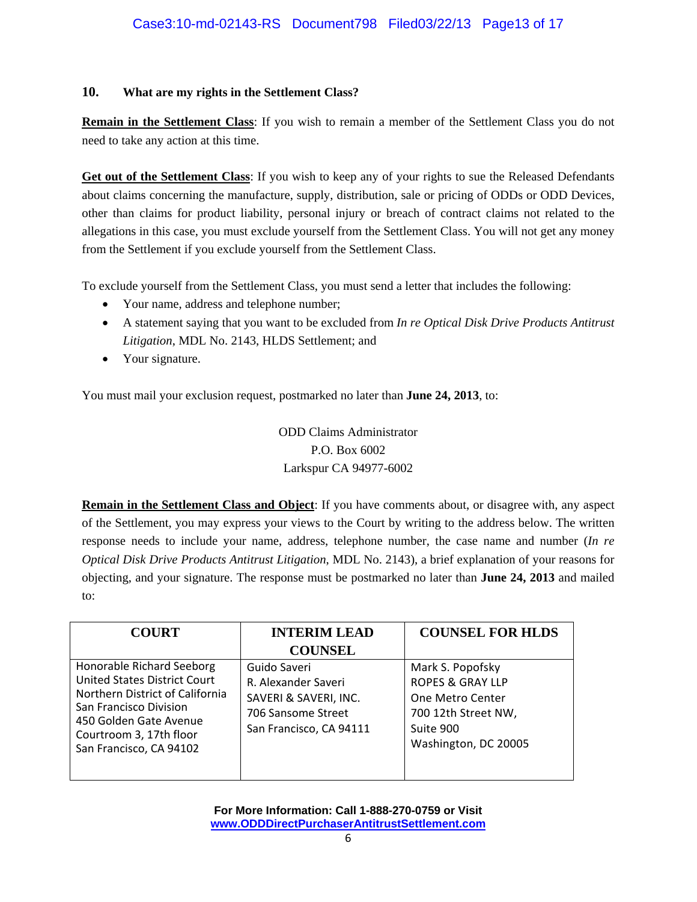#### **10. What are my rights in the Settlement Class?**

**Remain in the Settlement Class**: If you wish to remain a member of the Settlement Class you do not need to take any action at this time.

**Get out of the Settlement Class**: If you wish to keep any of your rights to sue the Released Defendants about claims concerning the manufacture, supply, distribution, sale or pricing of ODDs or ODD Devices, other than claims for product liability, personal injury or breach of contract claims not related to the allegations in this case, you must exclude yourself from the Settlement Class. You will not get any money from the Settlement if you exclude yourself from the Settlement Class.

To exclude yourself from the Settlement Class, you must send a letter that includes the following:

- Your name, address and telephone number;
- A statement saying that you want to be excluded from *In re Optical Disk Drive Products Antitrust Litigation*, MDL No. 2143, HLDS Settlement; and
- Your signature.

You must mail your exclusion request, postmarked no later than **June 24, 2013**, to:

ODD Claims Administrator P.O. Box 6002 Larkspur CA 94977-6002

**Remain in the Settlement Class and Object**: If you have comments about, or disagree with, any aspect of the Settlement, you may express your views to the Court by writing to the address below. The written response needs to include your name, address, telephone number, the case name and number (*In re Optical Disk Drive Products Antitrust Litigation*, MDL No. 2143), a brief explanation of your reasons for objecting, and your signature. The response must be postmarked no later than **June 24, 2013** and mailed to:

| <b>COURT</b>                                                                                                                                                                                                  | <b>INTERIM LEAD</b>                                                                                           | <b>COUNSEL FOR HLDS</b>                                                                                                         |
|---------------------------------------------------------------------------------------------------------------------------------------------------------------------------------------------------------------|---------------------------------------------------------------------------------------------------------------|---------------------------------------------------------------------------------------------------------------------------------|
|                                                                                                                                                                                                               | <b>COUNSEL</b>                                                                                                |                                                                                                                                 |
| Honorable Richard Seeborg<br><b>United States District Court</b><br>Northern District of California<br>San Francisco Division<br>450 Golden Gate Avenue<br>Courtroom 3, 17th floor<br>San Francisco, CA 94102 | Guido Saveri<br>R. Alexander Saveri<br>SAVERI & SAVERI, INC.<br>706 Sansome Street<br>San Francisco, CA 94111 | Mark S. Popofsky<br><b>ROPES &amp; GRAY LLP</b><br>One Metro Center<br>700 12th Street NW,<br>Suite 900<br>Washington, DC 20005 |
|                                                                                                                                                                                                               |                                                                                                               |                                                                                                                                 |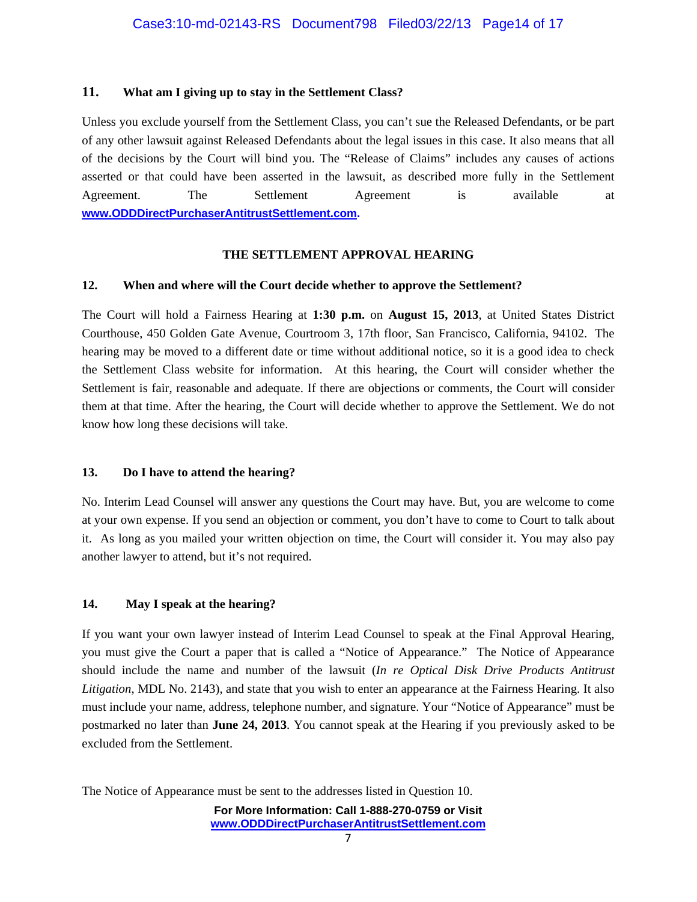#### **11. What am I giving up to stay in the Settlement Class?**

Unless you exclude yourself from the Settlement Class, you can't sue the Released Defendants, or be part of any other lawsuit against Released Defendants about the legal issues in this case. It also means that all of the decisions by the Court will bind you. The "Release of Claims" includes any causes of actions asserted or that could have been asserted in the lawsuit, as described more fully in the Settlement Agreement. The Settlement Agreement is available at **www.ODDDirectPurchaserAntitrustSettlement.com.** 

#### **THE SETTLEMENT APPROVAL HEARING**

#### **12. When and where will the Court decide whether to approve the Settlement?**

The Court will hold a Fairness Hearing at **1:30 p.m.** on **August 15, 2013**, at United States District Courthouse, 450 Golden Gate Avenue, Courtroom 3, 17th floor, San Francisco, California, 94102. The hearing may be moved to a different date or time without additional notice, so it is a good idea to check the Settlement Class website for information. At this hearing, the Court will consider whether the Settlement is fair, reasonable and adequate. If there are objections or comments, the Court will consider them at that time. After the hearing, the Court will decide whether to approve the Settlement. We do not know how long these decisions will take.

#### **13. Do I have to attend the hearing?**

No. Interim Lead Counsel will answer any questions the Court may have. But, you are welcome to come at your own expense. If you send an objection or comment, you don't have to come to Court to talk about it. As long as you mailed your written objection on time, the Court will consider it. You may also pay another lawyer to attend, but it's not required.

#### **14. May I speak at the hearing?**

If you want your own lawyer instead of Interim Lead Counsel to speak at the Final Approval Hearing, you must give the Court a paper that is called a "Notice of Appearance." The Notice of Appearance should include the name and number of the lawsuit (*In re Optical Disk Drive Products Antitrust Litigation*, MDL No. 2143), and state that you wish to enter an appearance at the Fairness Hearing. It also must include your name, address, telephone number, and signature. Your "Notice of Appearance" must be postmarked no later than **June 24, 2013**. You cannot speak at the Hearing if you previously asked to be excluded from the Settlement.

The Notice of Appearance must be sent to the addresses listed in Question 10.

**For More Information: Call 1-888-270-0759 or Visit www.ODDDirectPurchaserAntitrustSettlement.com**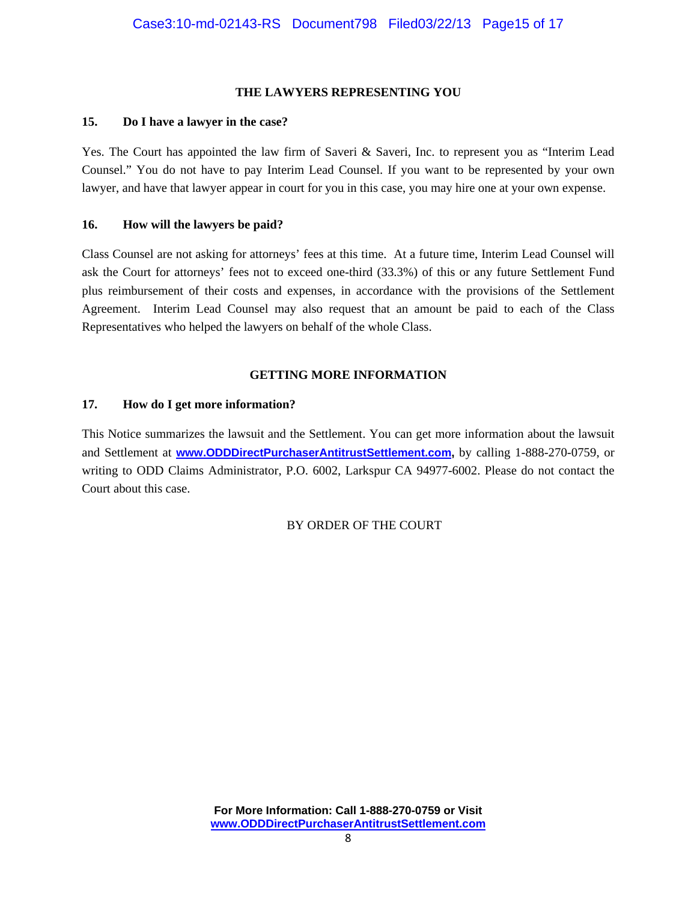#### **THE LAWYERS REPRESENTING YOU**

#### **15. Do I have a lawyer in the case?**

Yes. The Court has appointed the law firm of Saveri & Saveri, Inc. to represent you as "Interim Lead Counsel." You do not have to pay Interim Lead Counsel. If you want to be represented by your own lawyer, and have that lawyer appear in court for you in this case, you may hire one at your own expense.

#### **16. How will the lawyers be paid?**

Class Counsel are not asking for attorneys' fees at this time. At a future time, Interim Lead Counsel will ask the Court for attorneys' fees not to exceed one-third (33.3%) of this or any future Settlement Fund plus reimbursement of their costs and expenses, in accordance with the provisions of the Settlement Agreement. Interim Lead Counsel may also request that an amount be paid to each of the Class Representatives who helped the lawyers on behalf of the whole Class.

#### **GETTING MORE INFORMATION**

#### **17. How do I get more information?**

This Notice summarizes the lawsuit and the Settlement. You can get more information about the lawsuit and Settlement at **www.ODDDirectPurchaserAntitrustSettlement.com,** by calling 1-888-270-0759, or writing to ODD Claims Administrator, P.O. 6002, Larkspur CA 94977-6002. Please do not contact the Court about this case.

BY ORDER OF THE COURT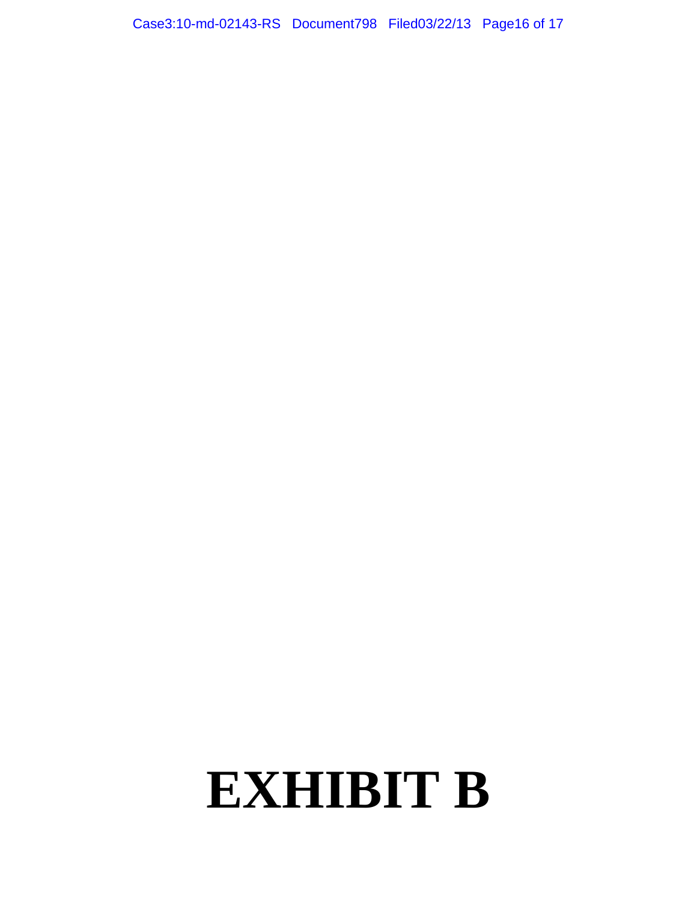# **EXHIBIT B**